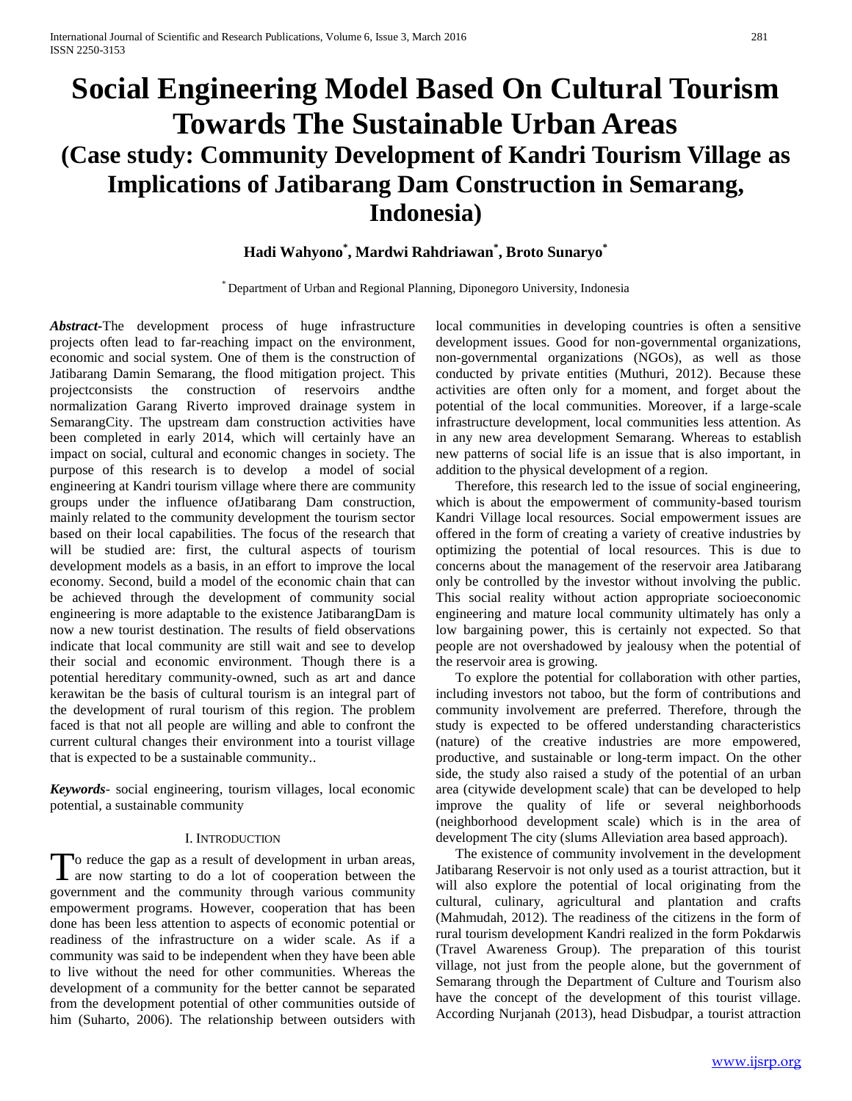# **Social Engineering Model Based On Cultural Tourism Towards The Sustainable Urban Areas (Case study: Community Development of Kandri Tourism Village as Implications of Jatibarang Dam Construction in Semarang, Indonesia)**

# **Hadi Wahyono\* , Mardwi Rahdriawan\* , Broto Sunaryo\***

\* Department of Urban and Regional Planning, Diponegoro University, Indonesia

*Abstract***-**The development process of huge infrastructure projects often lead to far-reaching impact on the environment, economic and social system. One of them is the construction of Jatibarang Damin Semarang, the flood mitigation project. This projectconsists the construction of reservoirs andthe normalization Garang Riverto improved drainage system in SemarangCity. The upstream dam construction activities have been completed in early 2014, which will certainly have an impact on social, cultural and economic changes in society. The purpose of this research is to develop a model of social engineering at Kandri tourism village where there are community groups under the influence ofJatibarang Dam construction, mainly related to the community development the tourism sector based on their local capabilities. The focus of the research that will be studied are: first, the cultural aspects of tourism development models as a basis, in an effort to improve the local economy. Second, build a model of the economic chain that can be achieved through the development of community social engineering is more adaptable to the existence JatibarangDam is now a new tourist destination. The results of field observations indicate that local community are still wait and see to develop their social and economic environment. Though there is a potential hereditary community-owned, such as art and dance kerawitan be the basis of cultural tourism is an integral part of the development of rural tourism of this region. The problem faced is that not all people are willing and able to confront the current cultural changes their environment into a tourist village that is expected to be a sustainable community..

*Keywords*- social engineering, tourism villages, local economic potential, a sustainable community

### I. INTRODUCTION

o reduce the gap as a result of development in urban areas, To reduce the gap as a result of development in urban areas, are now starting to do a lot of cooperation between the government and the community through various community empowerment programs. However, cooperation that has been done has been less attention to aspects of economic potential or readiness of the infrastructure on a wider scale. As if a community was said to be independent when they have been able to live without the need for other communities. Whereas the development of a community for the better cannot be separated from the development potential of other communities outside of him (Suharto, 2006). The relationship between outsiders with

local communities in developing countries is often a sensitive development issues. Good for non-governmental organizations, non-governmental organizations (NGOs), as well as those conducted by private entities (Muthuri, 2012). Because these activities are often only for a moment, and forget about the potential of the local communities. Moreover, if a large-scale infrastructure development, local communities less attention. As in any new area development Semarang. Whereas to establish new patterns of social life is an issue that is also important, in addition to the physical development of a region.

Therefore, this research led to the issue of social engineering, which is about the empowerment of community-based tourism Kandri Village local resources. Social empowerment issues are offered in the form of creating a variety of creative industries by optimizing the potential of local resources. This is due to concerns about the management of the reservoir area Jatibarang only be controlled by the investor without involving the public. This social reality without action appropriate socioeconomic engineering and mature local community ultimately has only a low bargaining power, this is certainly not expected. So that people are not overshadowed by jealousy when the potential of the reservoir area is growing.

To explore the potential for collaboration with other parties, including investors not taboo, but the form of contributions and community involvement are preferred. Therefore, through the study is expected to be offered understanding characteristics (nature) of the creative industries are more empowered, productive, and sustainable or long-term impact. On the other side, the study also raised a study of the potential of an urban area (citywide development scale) that can be developed to help improve the quality of life or several neighborhoods (neighborhood development scale) which is in the area of development The city (slums Alleviation area based approach).

The existence of community involvement in the development Jatibarang Reservoir is not only used as a tourist attraction, but it will also explore the potential of local originating from the cultural, culinary, agricultural and plantation and crafts (Mahmudah, 2012). The readiness of the citizens in the form of rural tourism development Kandri realized in the form Pokdarwis (Travel Awareness Group). The preparation of this tourist village, not just from the people alone, but the government of Semarang through the Department of Culture and Tourism also have the concept of the development of this tourist village. According Nurjanah (2013), head Disbudpar, a tourist attraction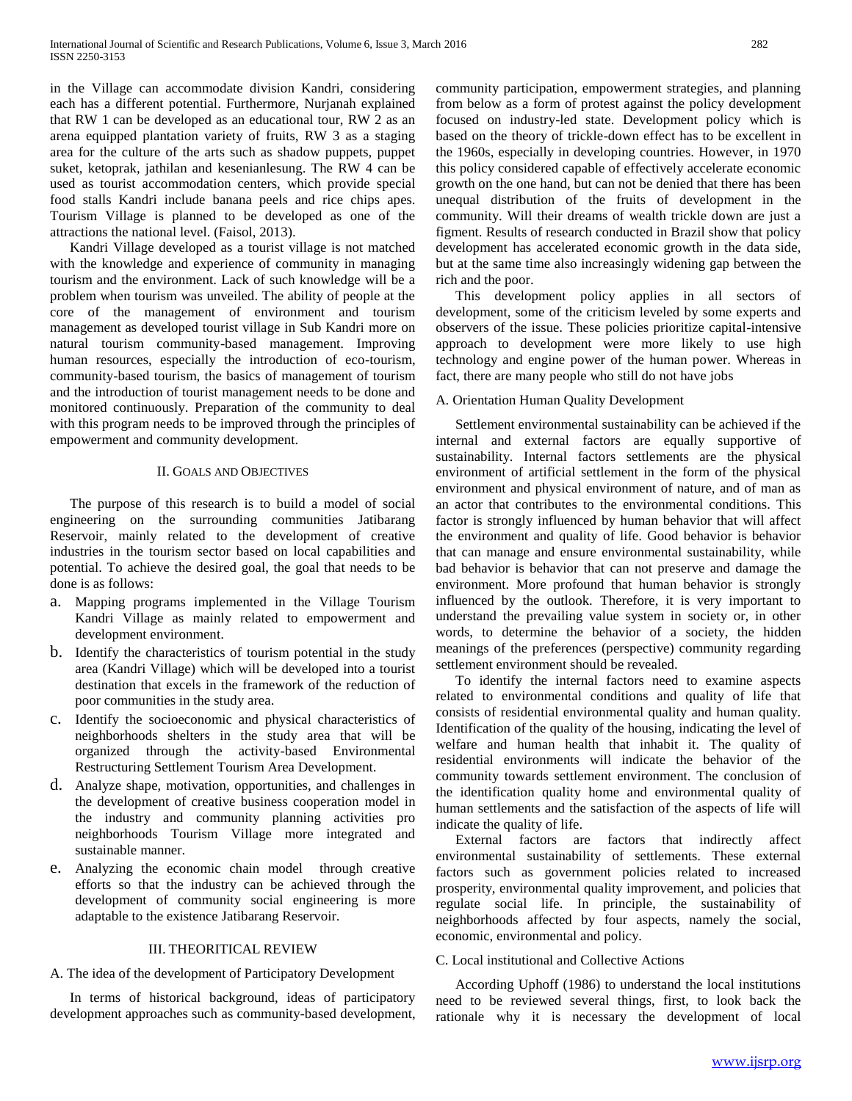in the Village can accommodate division Kandri, considering each has a different potential. Furthermore, Nurjanah explained that RW 1 can be developed as an educational tour, RW 2 as an arena equipped plantation variety of fruits, RW 3 as a staging area for the culture of the arts such as shadow puppets, puppet suket, ketoprak, jathilan and kesenianlesung. The RW 4 can be used as tourist accommodation centers, which provide special food stalls Kandri include banana peels and rice chips apes. Tourism Village is planned to be developed as one of the attractions the national level. (Faisol, 2013).

Kandri Village developed as a tourist village is not matched with the knowledge and experience of community in managing tourism and the environment. Lack of such knowledge will be a problem when tourism was unveiled. The ability of people at the core of the management of environment and tourism management as developed tourist village in Sub Kandri more on natural tourism community-based management. Improving human resources, especially the introduction of eco-tourism, community-based tourism, the basics of management of tourism and the introduction of tourist management needs to be done and monitored continuously. Preparation of the community to deal with this program needs to be improved through the principles of empowerment and community development.

#### II. GOALS AND OBJECTIVES

The purpose of this research is to build a model of social engineering on the surrounding communities Jatibarang Reservoir, mainly related to the development of creative industries in the tourism sector based on local capabilities and potential. To achieve the desired goal, the goal that needs to be done is as follows:

- a. Mapping programs implemented in the Village Tourism Kandri Village as mainly related to empowerment and development environment.
- b. Identify the characteristics of tourism potential in the study area (Kandri Village) which will be developed into a tourist destination that excels in the framework of the reduction of poor communities in the study area.
- c. Identify the socioeconomic and physical characteristics of neighborhoods shelters in the study area that will be organized through the activity-based Environmental Restructuring Settlement Tourism Area Development.
- d. Analyze shape, motivation, opportunities, and challenges in the development of creative business cooperation model in the industry and community planning activities pro neighborhoods Tourism Village more integrated and sustainable manner.
- e. Analyzing the economic chain model through creative efforts so that the industry can be achieved through the development of community social engineering is more adaptable to the existence Jatibarang Reservoir.

#### III. THEORITICAL REVIEW

# A. The idea of the development of Participatory Development

In terms of historical background, ideas of participatory development approaches such as community-based development, community participation, empowerment strategies, and planning from below as a form of protest against the policy development focused on industry-led state. Development policy which is based on the theory of trickle-down effect has to be excellent in the 1960s, especially in developing countries. However, in 1970 this policy considered capable of effectively accelerate economic growth on the one hand, but can not be denied that there has been unequal distribution of the fruits of development in the community. Will their dreams of wealth trickle down are just a figment. Results of research conducted in Brazil show that policy development has accelerated economic growth in the data side, but at the same time also increasingly widening gap between the rich and the poor.

This development policy applies in all sectors of development, some of the criticism leveled by some experts and observers of the issue. These policies prioritize capital-intensive approach to development were more likely to use high technology and engine power of the human power. Whereas in fact, there are many people who still do not have jobs

## A. Orientation Human Quality Development

Settlement environmental sustainability can be achieved if the internal and external factors are equally supportive of sustainability. Internal factors settlements are the physical environment of artificial settlement in the form of the physical environment and physical environment of nature, and of man as an actor that contributes to the environmental conditions. This factor is strongly influenced by human behavior that will affect the environment and quality of life. Good behavior is behavior that can manage and ensure environmental sustainability, while bad behavior is behavior that can not preserve and damage the environment. More profound that human behavior is strongly influenced by the outlook. Therefore, it is very important to understand the prevailing value system in society or, in other words, to determine the behavior of a society, the hidden meanings of the preferences (perspective) community regarding settlement environment should be revealed.

To identify the internal factors need to examine aspects related to environmental conditions and quality of life that consists of residential environmental quality and human quality. Identification of the quality of the housing, indicating the level of welfare and human health that inhabit it. The quality of residential environments will indicate the behavior of the community towards settlement environment. The conclusion of the identification quality home and environmental quality of human settlements and the satisfaction of the aspects of life will indicate the quality of life.

External factors are factors that indirectly affect environmental sustainability of settlements. These external factors such as government policies related to increased prosperity, environmental quality improvement, and policies that regulate social life. In principle, the sustainability of neighborhoods affected by four aspects, namely the social, economic, environmental and policy.

### C. Local institutional and Collective Actions

According Uphoff (1986) to understand the local institutions need to be reviewed several things, first, to look back the rationale why it is necessary the development of local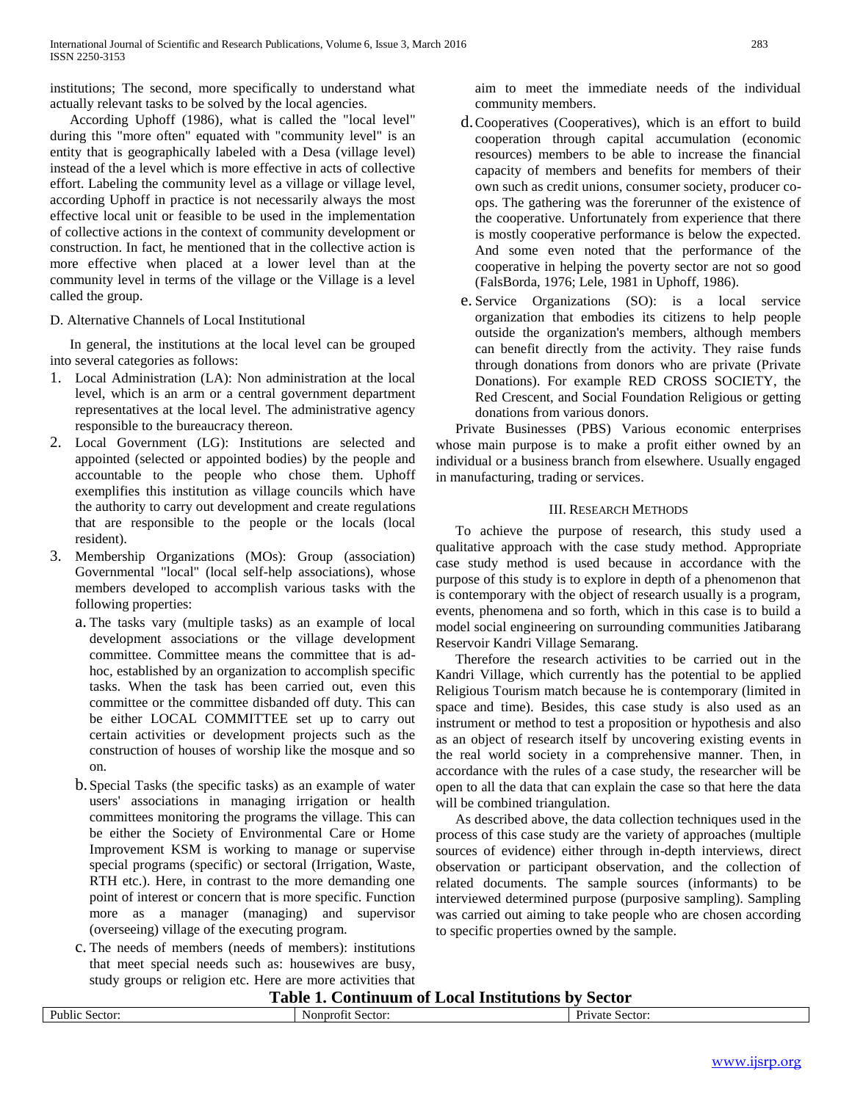institutions; The second, more specifically to understand what actually relevant tasks to be solved by the local agencies.

According Uphoff (1986), what is called the "local level" during this "more often" equated with "community level" is an entity that is geographically labeled with a Desa (village level) instead of the a level which is more effective in acts of collective effort. Labeling the community level as a village or village level, according Uphoff in practice is not necessarily always the most effective local unit or feasible to be used in the implementation of collective actions in the context of community development or construction. In fact, he mentioned that in the collective action is more effective when placed at a lower level than at the community level in terms of the village or the Village is a level called the group.

# D. Alternative Channels of Local Institutional

In general, the institutions at the local level can be grouped into several categories as follows:

- 1. Local Administration (LA): Non administration at the local level, which is an arm or a central government department representatives at the local level. The administrative agency responsible to the bureaucracy thereon.
- 2. Local Government (LG): Institutions are selected and appointed (selected or appointed bodies) by the people and accountable to the people who chose them. Uphoff exemplifies this institution as village councils which have the authority to carry out development and create regulations that are responsible to the people or the locals (local resident).
- 3. Membership Organizations (MOs): Group (association) Governmental "local" (local self-help associations), whose members developed to accomplish various tasks with the following properties:
	- a. The tasks vary (multiple tasks) as an example of local development associations or the village development committee. Committee means the committee that is adhoc, established by an organization to accomplish specific tasks. When the task has been carried out, even this committee or the committee disbanded off duty. This can be either LOCAL COMMITTEE set up to carry out certain activities or development projects such as the construction of houses of worship like the mosque and so on.
	- b.Special Tasks (the specific tasks) as an example of water users' associations in managing irrigation or health committees monitoring the programs the village. This can be either the Society of Environmental Care or Home Improvement KSM is working to manage or supervise special programs (specific) or sectoral (Irrigation, Waste, RTH etc.). Here, in contrast to the more demanding one point of interest or concern that is more specific. Function more as a manager (managing) and supervisor (overseeing) village of the executing program.
	- c. The needs of members (needs of members): institutions that meet special needs such as: housewives are busy, study groups or religion etc. Here are more activities that

aim to meet the immediate needs of the individual community members.

- d.Cooperatives (Cooperatives), which is an effort to build cooperation through capital accumulation (economic resources) members to be able to increase the financial capacity of members and benefits for members of their own such as credit unions, consumer society, producer coops. The gathering was the forerunner of the existence of the cooperative. Unfortunately from experience that there is mostly cooperative performance is below the expected. And some even noted that the performance of the cooperative in helping the poverty sector are not so good (FalsBorda, 1976; Lele, 1981 in Uphoff, 1986).
- e. Service Organizations (SO): is a local service organization that embodies its citizens to help people outside the organization's members, although members can benefit directly from the activity. They raise funds through donations from donors who are private (Private Donations). For example RED CROSS SOCIETY, the Red Crescent, and Social Foundation Religious or getting donations from various donors.

Private Businesses (PBS) Various economic enterprises whose main purpose is to make a profit either owned by an individual or a business branch from elsewhere. Usually engaged in manufacturing, trading or services.

# III. RESEARCH METHODS

To achieve the purpose of research, this study used a qualitative approach with the case study method. Appropriate case study method is used because in accordance with the purpose of this study is to explore in depth of a phenomenon that is contemporary with the object of research usually is a program, events, phenomena and so forth, which in this case is to build a model social engineering on surrounding communities Jatibarang Reservoir Kandri Village Semarang.

Therefore the research activities to be carried out in the Kandri Village, which currently has the potential to be applied Religious Tourism match because he is contemporary (limited in space and time). Besides, this case study is also used as an instrument or method to test a proposition or hypothesis and also as an object of research itself by uncovering existing events in the real world society in a comprehensive manner. Then, in accordance with the rules of a case study, the researcher will be open to all the data that can explain the case so that here the data will be combined triangulation.

As described above, the data collection techniques used in the process of this case study are the variety of approaches (multiple sources of evidence) either through in-depth interviews, direct observation or participant observation, and the collection of related documents. The sample sources (informants) to be interviewed determined purpose (purposive sampling). Sampling was carried out aiming to take people who are chosen according to specific properties owned by the sample.

**Table 1. Continuum of Local Institutions by Sector**

| таріс 1. Сонинцині от посат нізикциону русског |                       |                                 |  |  |
|------------------------------------------------|-----------------------|---------------------------------|--|--|
| Public Sector:                                 | Nonprofit.<br>Sector: | $\mathbf{r}$<br>Private Sector: |  |  |
|                                                |                       |                                 |  |  |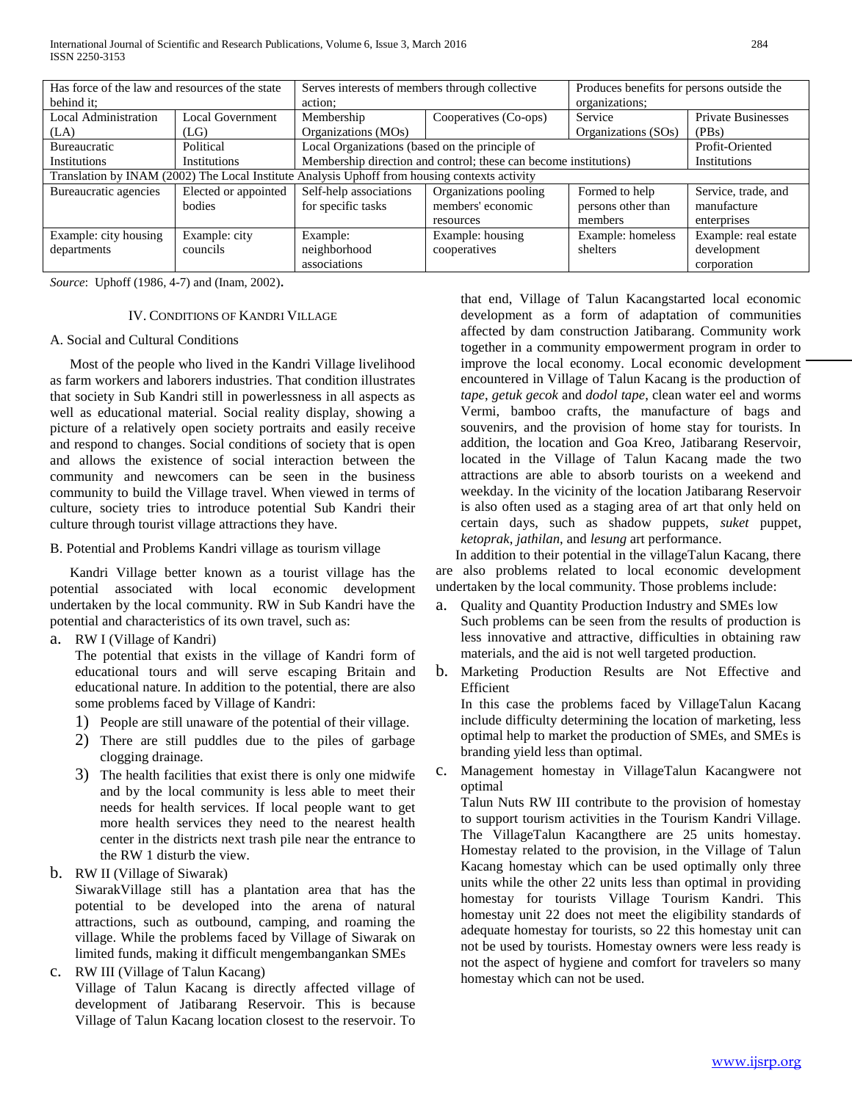| Has force of the law and resources of the state                                               |                         | Serves interests of members through collective                    |                       | Produces benefits for persons outside the |                           |  |
|-----------------------------------------------------------------------------------------------|-------------------------|-------------------------------------------------------------------|-----------------------|-------------------------------------------|---------------------------|--|
| behind it:                                                                                    |                         | action:                                                           |                       | organizations:                            |                           |  |
| <b>Local Administration</b>                                                                   | <b>Local Government</b> | Membership                                                        | Cooperatives (Co-ops) | Service                                   | <b>Private Businesses</b> |  |
| (LA)                                                                                          | (LG)                    | Organizations (MOs)                                               |                       | Organizations (SOs)                       | (PBs)                     |  |
| <b>Bureaucratic</b>                                                                           | Political               | Local Organizations (based on the principle of<br>Profit-Oriented |                       |                                           |                           |  |
| <b>Institutions</b>                                                                           | <b>Institutions</b>     | Membership direction and control; these can become institutions)  |                       |                                           | Institutions              |  |
| Translation by INAM (2002) The Local Institute Analysis Uphoff from housing contexts activity |                         |                                                                   |                       |                                           |                           |  |
| Bureaucratic agencies                                                                         | Elected or appointed    | Self-help associations                                            | Organizations pooling | Formed to help                            | Service, trade, and       |  |
|                                                                                               | bodies                  | for specific tasks                                                | members' economic     | persons other than                        | manufacture               |  |
|                                                                                               |                         |                                                                   | resources             | members                                   | enterprises               |  |
| Example: city housing                                                                         | Example: city           | Example:                                                          | Example: housing      | Example: homeless                         | Example: real estate      |  |
| departments                                                                                   | councils                | neighborhood                                                      | cooperatives          | shelters                                  | development               |  |
|                                                                                               |                         | associations                                                      |                       |                                           | corporation               |  |

*Source*: Uphoff (1986, 4-7) and (Inam, 2002).

# IV. CONDITIONS OF KANDRI VILLAGE

#### A. Social and Cultural Conditions

Most of the people who lived in the Kandri Village livelihood as farm workers and laborers industries. That condition illustrates that society in Sub Kandri still in powerlessness in all aspects as well as educational material. Social reality display, showing a picture of a relatively open society portraits and easily receive and respond to changes. Social conditions of society that is open and allows the existence of social interaction between the community and newcomers can be seen in the business community to build the Village travel. When viewed in terms of culture, society tries to introduce potential Sub Kandri their culture through tourist village attractions they have.

#### B. Potential and Problems Kandri village as tourism village

Kandri Village better known as a tourist village has the potential associated with local economic development undertaken by the local community. RW in Sub Kandri have the potential and characteristics of its own travel, such as:

a. RW I (Village of Kandri)

The potential that exists in the village of Kandri form of educational tours and will serve escaping Britain and educational nature. In addition to the potential, there are also some problems faced by Village of Kandri:

- 1) People are still unaware of the potential of their village.
- 2) There are still puddles due to the piles of garbage clogging drainage.
- 3) The health facilities that exist there is only one midwife and by the local community is less able to meet their needs for health services. If local people want to get more health services they need to the nearest health center in the districts next trash pile near the entrance to the RW 1 disturb the view.
- b. RW II (Village of Siwarak)

SiwarakVillage still has a plantation area that has the potential to be developed into the arena of natural attractions, such as outbound, camping, and roaming the village. While the problems faced by Village of Siwarak on limited funds, making it difficult mengembangankan SMEs

c. RW III (Village of Talun Kacang)

Village of Talun Kacang is directly affected village of development of Jatibarang Reservoir. This is because Village of Talun Kacang location closest to the reservoir. To that end, Village of Talun Kacangstarted local economic development as a form of adaptation of communities affected by dam construction Jatibarang. Community work together in a community empowerment program in order to improve the local economy. Local economic development encountered in Village of Talun Kacang is the production of *tape*, *getuk gecok* and *dodol tape*, clean water eel and worms Vermi, bamboo crafts, the manufacture of bags and souvenirs, and the provision of home stay for tourists. In addition, the location and Goa Kreo, Jatibarang Reservoir, located in the Village of Talun Kacang made the two attractions are able to absorb tourists on a weekend and weekday. In the vicinity of the location Jatibarang Reservoir is also often used as a staging area of art that only held on certain days, such as shadow puppets, *suket* puppet, *ketoprak*, *jathilan*, and *lesung* art performance.

In addition to their potential in the villageTalun Kacang, there are also problems related to local economic development undertaken by the local community. Those problems include:

- a. Quality and Quantity Production Industry and SMEs low Such problems can be seen from the results of production is less innovative and attractive, difficulties in obtaining raw materials, and the aid is not well targeted production.
- b. Marketing Production Results are Not Effective and Efficient

In this case the problems faced by VillageTalun Kacang include difficulty determining the location of marketing, less optimal help to market the production of SMEs, and SMEs is branding yield less than optimal.

c. Management homestay in VillageTalun Kacangwere not optimal

Talun Nuts RW III contribute to the provision of homestay to support tourism activities in the Tourism Kandri Village. The VillageTalun Kacangthere are 25 units homestay. Homestay related to the provision, in the Village of Talun Kacang homestay which can be used optimally only three units while the other 22 units less than optimal in providing homestay for tourists Village Tourism Kandri. This homestay unit 22 does not meet the eligibility standards of adequate homestay for tourists, so 22 this homestay unit can not be used by tourists. Homestay owners were less ready is not the aspect of hygiene and comfort for travelers so many homestay which can not be used.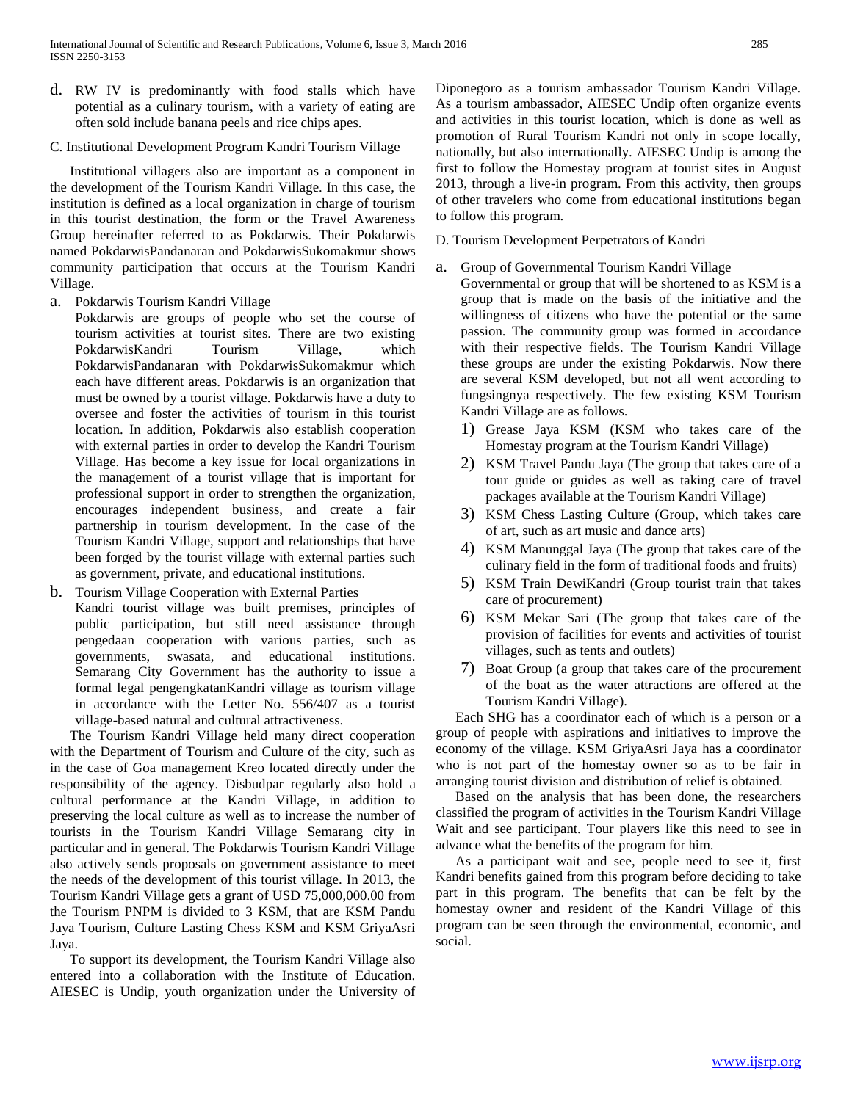- d. RW IV is predominantly with food stalls which have potential as a culinary tourism, with a variety of eating are often sold include banana peels and rice chips apes.
- C. Institutional Development Program Kandri Tourism Village

Institutional villagers also are important as a component in the development of the Tourism Kandri Village. In this case, the institution is defined as a local organization in charge of tourism in this tourist destination, the form or the Travel Awareness Group hereinafter referred to as Pokdarwis. Their Pokdarwis named PokdarwisPandanaran and PokdarwisSukomakmur shows community participation that occurs at the Tourism Kandri Village.

a. Pokdarwis Tourism Kandri Village

Pokdarwis are groups of people who set the course of tourism activities at tourist sites. There are two existing PokdarwisKandri Tourism Village, which PokdarwisPandanaran with PokdarwisSukomakmur which each have different areas. Pokdarwis is an organization that must be owned by a tourist village. Pokdarwis have a duty to oversee and foster the activities of tourism in this tourist location. In addition, Pokdarwis also establish cooperation with external parties in order to develop the Kandri Tourism Village. Has become a key issue for local organizations in the management of a tourist village that is important for professional support in order to strengthen the organization, encourages independent business, and create a fair partnership in tourism development. In the case of the Tourism Kandri Village, support and relationships that have been forged by the tourist village with external parties such as government, private, and educational institutions.

b. Tourism Village Cooperation with External Parties Kandri tourist village was built premises, principles of public participation, but still need assistance through pengedaan cooperation with various parties, such as governments, swasata, and educational institutions. Semarang City Government has the authority to issue a formal legal pengengkatanKandri village as tourism village in accordance with the Letter No. 556/407 as a tourist village-based natural and cultural attractiveness.

The Tourism Kandri Village held many direct cooperation with the Department of Tourism and Culture of the city, such as in the case of Goa management Kreo located directly under the responsibility of the agency. Disbudpar regularly also hold a cultural performance at the Kandri Village, in addition to preserving the local culture as well as to increase the number of tourists in the Tourism Kandri Village Semarang city in particular and in general. The Pokdarwis Tourism Kandri Village also actively sends proposals on government assistance to meet the needs of the development of this tourist village. In 2013, the Tourism Kandri Village gets a grant of USD 75,000,000.00 from the Tourism PNPM is divided to 3 KSM, that are KSM Pandu Jaya Tourism, Culture Lasting Chess KSM and KSM GriyaAsri Jaya.

To support its development, the Tourism Kandri Village also entered into a collaboration with the Institute of Education. AIESEC is Undip, youth organization under the University of Diponegoro as a tourism ambassador Tourism Kandri Village. As a tourism ambassador, AIESEC Undip often organize events and activities in this tourist location, which is done as well as promotion of Rural Tourism Kandri not only in scope locally, nationally, but also internationally. AIESEC Undip is among the first to follow the Homestay program at tourist sites in August 2013, through a live-in program. From this activity, then groups of other travelers who come from educational institutions began to follow this program.

- D. Tourism Development Perpetrators of Kandri
- Group of Governmental Tourism Kandri Village

Governmental or group that will be shortened to as KSM is a group that is made on the basis of the initiative and the willingness of citizens who have the potential or the same passion. The community group was formed in accordance with their respective fields. The Tourism Kandri Village these groups are under the existing Pokdarwis. Now there are several KSM developed, but not all went according to fungsingnya respectively. The few existing KSM Tourism Kandri Village are as follows.

- 1) Grease Jaya KSM (KSM who takes care of the Homestay program at the Tourism Kandri Village)
- 2) KSM Travel Pandu Jaya (The group that takes care of a tour guide or guides as well as taking care of travel packages available at the Tourism Kandri Village)
- 3) KSM Chess Lasting Culture (Group, which takes care of art, such as art music and dance arts)
- 4) KSM Manunggal Jaya (The group that takes care of the culinary field in the form of traditional foods and fruits)
- 5) KSM Train DewiKandri (Group tourist train that takes care of procurement)
- 6) KSM Mekar Sari (The group that takes care of the provision of facilities for events and activities of tourist villages, such as tents and outlets)
- 7) Boat Group (a group that takes care of the procurement of the boat as the water attractions are offered at the Tourism Kandri Village).

Each SHG has a coordinator each of which is a person or a group of people with aspirations and initiatives to improve the economy of the village. KSM GriyaAsri Jaya has a coordinator who is not part of the homestay owner so as to be fair in arranging tourist division and distribution of relief is obtained.

Based on the analysis that has been done, the researchers classified the program of activities in the Tourism Kandri Village Wait and see participant. Tour players like this need to see in advance what the benefits of the program for him.

As a participant wait and see, people need to see it, first Kandri benefits gained from this program before deciding to take part in this program. The benefits that can be felt by the homestay owner and resident of the Kandri Village of this program can be seen through the environmental, economic, and social.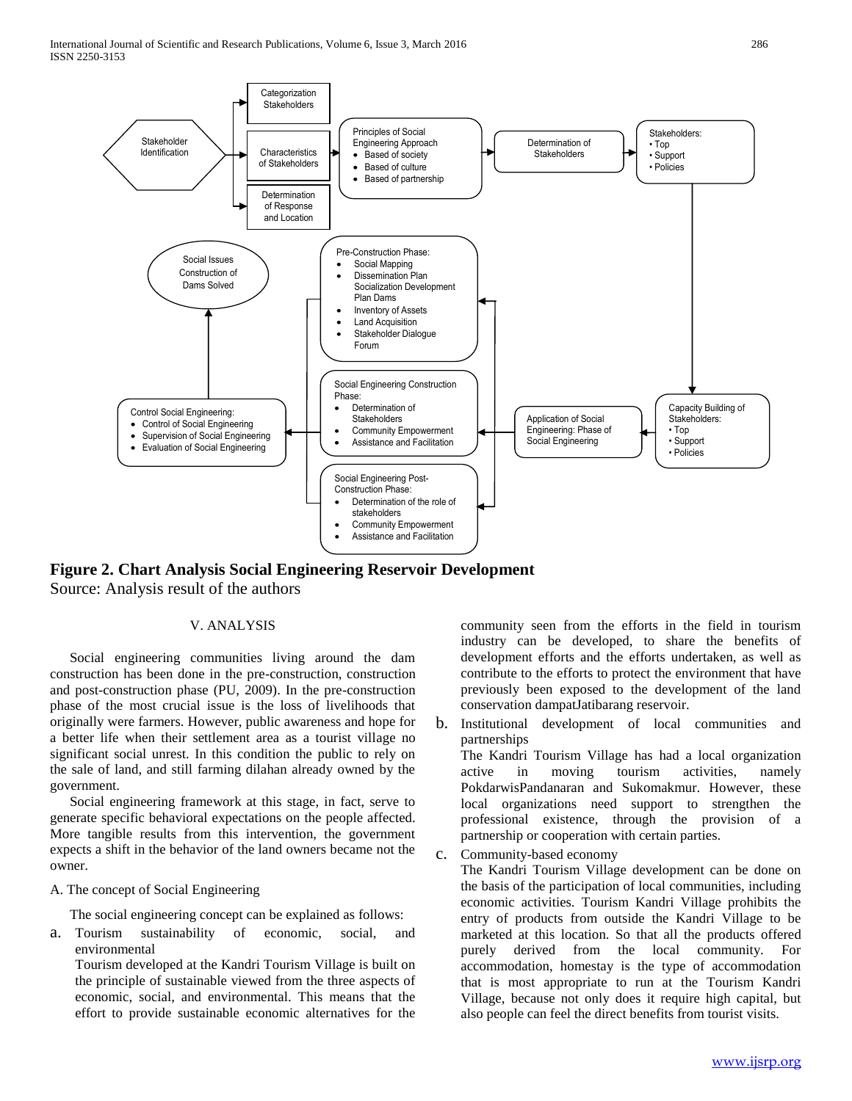

**Figure 2. Chart Analysis Social Engineering Reservoir Development** Source: Analysis result of the authors

# V. ANALYSIS

Social engineering communities living around the dam construction has been done in the pre-construction, construction and post-construction phase (PU, 2009). In the pre-construction phase of the most crucial issue is the loss of livelihoods that originally were farmers. However, public awareness and hope for a better life when their settlement area as a tourist village no significant social unrest. In this condition the public to rely on the sale of land, and still farming dilahan already owned by the government.

Social engineering framework at this stage, in fact, serve to generate specific behavioral expectations on the people affected. More tangible results from this intervention, the government expects a shift in the behavior of the land owners became not the owner.

#### A. The concept of Social Engineering

The social engineering concept can be explained as follows:

a. Tourism sustainability of economic, social, and environmental

Tourism developed at the Kandri Tourism Village is built on the principle of sustainable viewed from the three aspects of economic, social, and environmental. This means that the effort to provide sustainable economic alternatives for the

community seen from the efforts in the field in tourism industry can be developed, to share the benefits of development efforts and the efforts undertaken, as well as contribute to the efforts to protect the environment that have previously been exposed to the development of the land conservation dampatJatibarang reservoir.

b. Institutional development of local communities and partnerships

The Kandri Tourism Village has had a local organization active in moving tourism activities, namely PokdarwisPandanaran and Sukomakmur. However, these local organizations need support to strengthen the professional existence, through the provision of a partnership or cooperation with certain parties.

c. Community-based economy

The Kandri Tourism Village development can be done on the basis of the participation of local communities, including economic activities. Tourism Kandri Village prohibits the entry of products from outside the Kandri Village to be marketed at this location. So that all the products offered purely derived from the local community. For accommodation, homestay is the type of accommodation that is most appropriate to run at the Tourism Kandri Village, because not only does it require high capital, but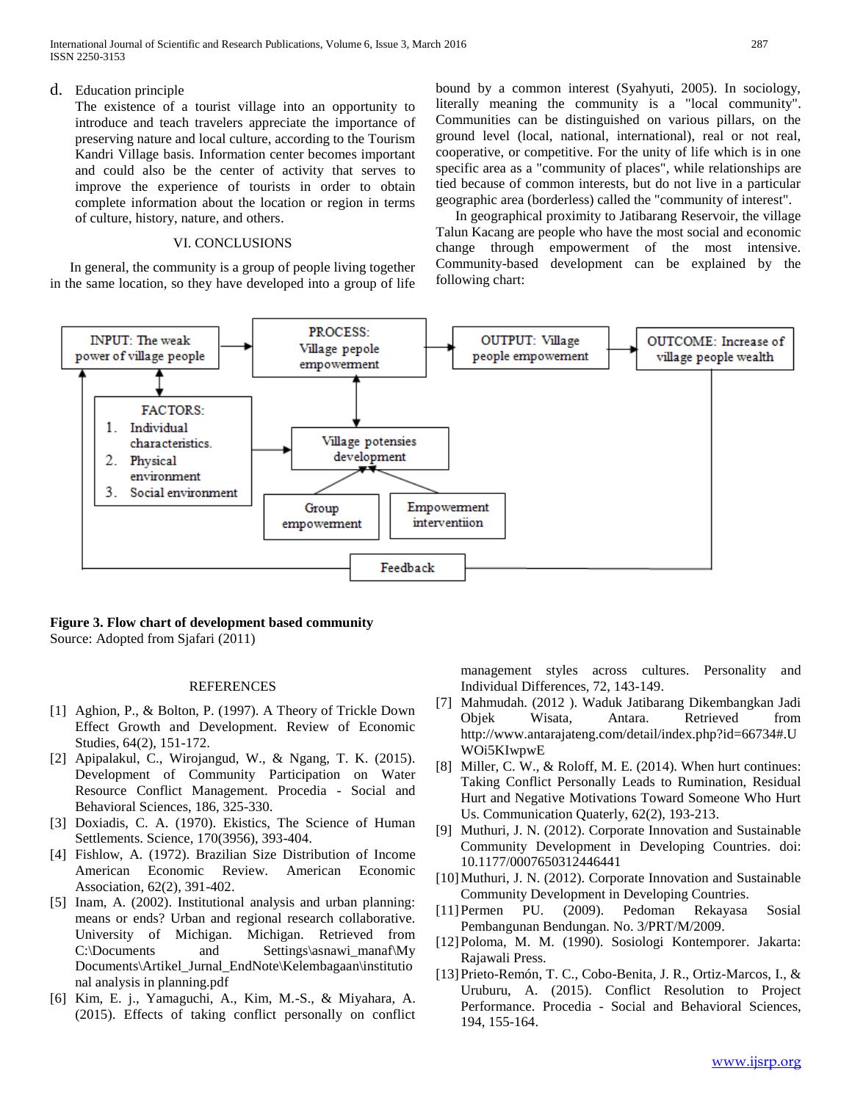International Journal of Scientific and Research Publications, Volume 6, Issue 3, March 2016 287 ISSN 2250-3153

# d. Education principle

The existence of a tourist village into an opportunity to introduce and teach travelers appreciate the importance of preserving nature and local culture, according to the Tourism Kandri Village basis. Information center becomes important and could also be the center of activity that serves to improve the experience of tourists in order to obtain complete information about the location or region in terms of culture, history, nature, and others.

# VI. CONCLUSIONS

In general, the community is a group of people living together in the same location, so they have developed into a group of life bound by a common interest (Syahyuti, 2005). In sociology, literally meaning the community is a "local community". Communities can be distinguished on various pillars, on the ground level (local, national, international), real or not real, cooperative, or competitive. For the unity of life which is in one specific area as a "community of places", while relationships are tied because of common interests, but do not live in a particular geographic area (borderless) called the "community of interest".

In geographical proximity to Jatibarang Reservoir, the village Talun Kacang are people who have the most social and economic change through empowerment of the most intensive. Community-based development can be explained by the following chart:



# **Figure 3. Flow chart of development based community** Source: Adopted from Sjafari (2011)

### REFERENCES

- [1] Aghion, P., & Bolton, P. (1997). A Theory of Trickle Down Effect Growth and Development. Review of Economic Studies, 64(2), 151-172.
- [2] Apipalakul, C., Wirojangud, W., & Ngang, T. K. (2015). Development of Community Participation on Water Resource Conflict Management. Procedia - Social and Behavioral Sciences, 186, 325-330.
- [3] Doxiadis, C. A. (1970). Ekistics, The Science of Human Settlements. Science, 170(3956), 393-404.
- [4] Fishlow, A. (1972). Brazilian Size Distribution of Income American Economic Review. American Economic Association, 62(2), 391-402.
- [5] Inam, A. (2002). Institutional analysis and urban planning: means or ends? Urban and regional research collaborative. University of Michigan. Michigan. Retrieved from C:\Documents and Settings\asnawi\_manaf\My Documents\Artikel\_Jurnal\_EndNote\Kelembagaan\institutio nal analysis in planning.pdf
- [6] Kim, E. j., Yamaguchi, A., Kim, M.-S., & Miyahara, A. (2015). Effects of taking conflict personally on conflict

management styles across cultures. Personality and Individual Differences, 72, 143-149.

- [7] Mahmudah. (2012 ). Waduk Jatibarang Dikembangkan Jadi Objek Wisata, Antara. Retrieved from http://www.antarajateng.com/detail/index.php?id=66734#.U WOi5KIwpwE
- [8] Miller, C. W., & Roloff, M. E. (2014). When hurt continues: Taking Conflict Personally Leads to Rumination, Residual Hurt and Negative Motivations Toward Someone Who Hurt Us. Communication Quaterly, 62(2), 193-213.
- [9] Muthuri, J. N. (2012). Corporate Innovation and Sustainable Community Development in Developing Countries. doi: 10.1177/0007650312446441
- [10]Muthuri, J. N. (2012). Corporate Innovation and Sustainable Community Development in Developing Countries.
- [11]Permen PU. (2009). Pedoman Rekayasa Sosial Pembangunan Bendungan. No. 3/PRT/M/2009.
- [12]Poloma, M. M. (1990). Sosiologi Kontemporer. Jakarta: Rajawali Press.
- [13]Prieto-Remón, T. C., Cobo-Benita, J. R., Ortiz-Marcos, I., & Uruburu, A. (2015). Conflict Resolution to Project Performance. Procedia - Social and Behavioral Sciences, 194, 155-164.